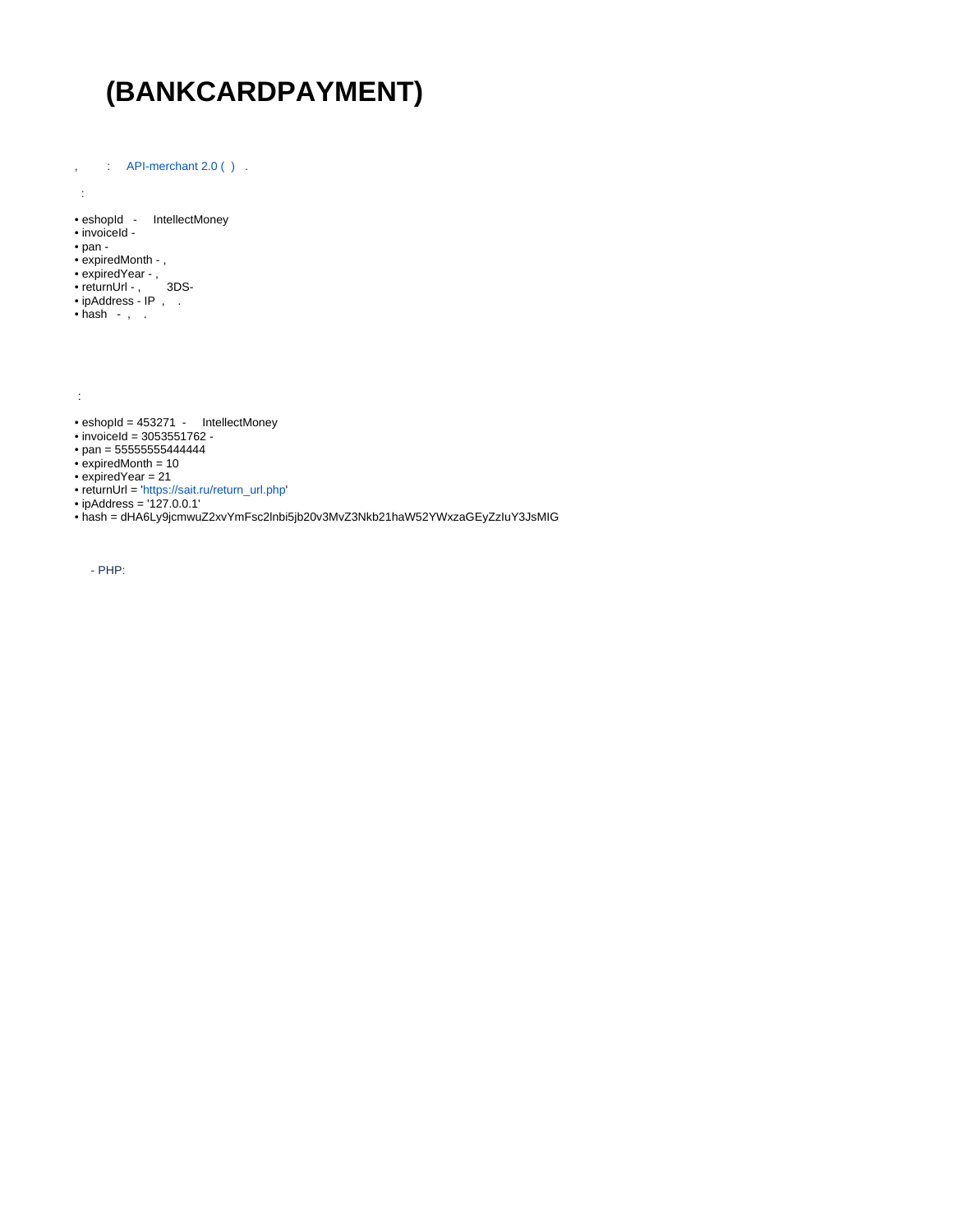## **(BANKCARDPAYMENT)**

, : [API-merchant 2.0 \( \)](https://wiki.intellectmoney.ru/pages/viewpage.action?pageId=4849666#id-%D0%94%D0%BE%D0%BA%D1%83%D0%BC%D0%B5%D0%BD%D1%82%D0%B0%D1%86%D0%B8%D1%8FAPImerchant2.0-BANKCARDPAYMENT-%D0%9E%D0%9F%D0%9B%D0%90%D0%A2%D0%90%D0%91%D0%90%D0%9D%D0%9A%D0%9E%D0%92%D0%A1%D0%9A%D0%9E%D0%99%D0%9A%D0%90%D0%A0%D0%A2%D0%9E%D0%99) .

- eshopId IntellectMoney
- invoiceId -
- pan -

:

- expiredMonth ,
- expiredYear ,
- returnUrl , 3DS-
- ipAddress IP , .
- $\bullet$  hash  $-$  ,  $\quad$

:

- eshopId = 453271 IntellectMoney
- $\bullet$  invoiceId = 3053551762 -
- pan = 55555555444444
- expiredMonth = 10
- expiredYear = 21
- returnUrl = '[https://sait.ru/return\\_url.php](https://sait.ru/return_url.php)'
- ipAddress = '127.0.0.1'
- hash = dHA6Ly9jcmwuZ2xvYmFsc2lnbi5jb20v3MvZ3Nkb21haW52YWxzaGEyZzIuY3JsMIG

- PHP: